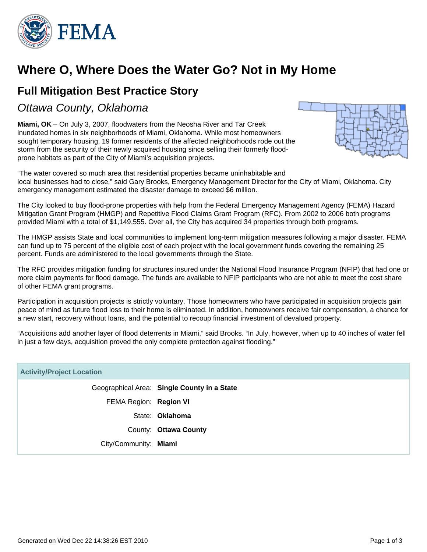

# **Where O, Where Does the Water Go? Not in My Home**

## **Full Mitigation Best Practice Story**

Ottawa County, Oklahoma

**Miami, OK** – On July 3, 2007, floodwaters from the Neosha River and Tar Creek inundated homes in six neighborhoods of Miami, Oklahoma. While most homeowners sought temporary housing, 19 former residents of the affected neighborhoods rode out the storm from the security of their newly acquired housing since selling their formerly floodprone habitats as part of the City of Miami's acquisition projects.



"The water covered so much area that residential properties became uninhabitable and local businesses had to close," said Gary Brooks, Emergency Management Director for the City of Miami, Oklahoma. City emergency management estimated the disaster damage to exceed \$6 million.

The City looked to buy flood-prone properties with help from the Federal Emergency Management Agency (FEMA) Hazard Mitigation Grant Program (HMGP) and Repetitive Flood Claims Grant Program (RFC). From 2002 to 2006 both programs provided Miami with a total of \$1,149,555. Over all, the City has acquired 34 properties through both programs.

The HMGP assists State and local communities to implement long-term mitigation measures following a major disaster. FEMA can fund up to 75 percent of the eligible cost of each project with the local government funds covering the remaining 25 percent. Funds are administered to the local governments through the State.

The RFC provides mitigation funding for structures insured under the National Flood Insurance Program (NFIP) that had one or more claim payments for flood damage. The funds are available to NFIP participants who are not able to meet the cost share of other FEMA grant programs.

Participation in acquisition projects is strictly voluntary. Those homeowners who have participated in acquisition projects gain peace of mind as future flood loss to their home is eliminated. In addition, homeowners receive fair compensation, a chance for a new start, recovery without loans, and the potential to recoup financial investment of devalued property.

"Acquisitions add another layer of flood deterrents in Miami," said Brooks. "In July, however, when up to 40 inches of water fell in just a few days, acquisition proved the only complete protection against flooding."

| <b>Activity/Project Location</b> |                                             |
|----------------------------------|---------------------------------------------|
|                                  | Geographical Area: Single County in a State |
| FEMA Region: Region VI           |                                             |
|                                  | State: <b>Oklahoma</b>                      |
|                                  | County: Ottawa County                       |
| City/Community: Miami            |                                             |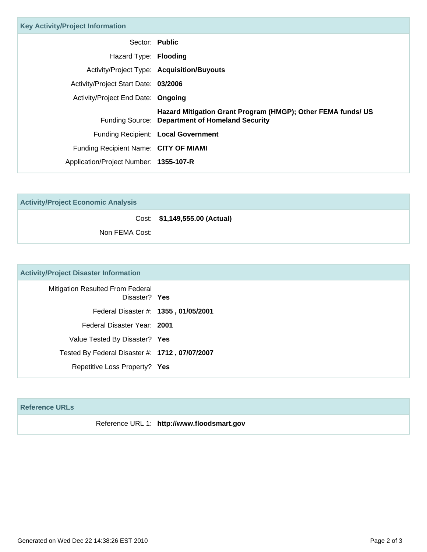| <b>Key Activity/Project Information</b> |                                                                                                                 |
|-----------------------------------------|-----------------------------------------------------------------------------------------------------------------|
| Sector: Public                          |                                                                                                                 |
| Hazard Type: Flooding                   |                                                                                                                 |
|                                         | Activity/Project Type: Acquisition/Buyouts                                                                      |
| Activity/Project Start Date: 03/2006    |                                                                                                                 |
| Activity/Project End Date: Ongoing      |                                                                                                                 |
|                                         | Hazard Mitigation Grant Program (HMGP); Other FEMA funds/ US<br>Funding Source: Department of Homeland Security |
|                                         | Funding Recipient: Local Government                                                                             |
| Funding Recipient Name: CITY OF MIAMI   |                                                                                                                 |
| Application/Project Number: 1355-107-R  |                                                                                                                 |

**Activity/Project Economic Analysis**

Cost: **\$1,149,555.00 (Actual)**

Non FEMA Cost:

### **Activity/Project Disaster Information**

| <b>Mitigation Resulted From Federal</b><br>Disaster? Yes |
|----------------------------------------------------------|
| Federal Disaster #: 1355, 01/05/2001                     |
| Federal Disaster Year: 2001                              |
| Value Tested By Disaster? Yes                            |
| Tested By Federal Disaster #: 1712, 07/07/2007           |
| Repetitive Loss Property? Yes                            |

#### **Reference URLs**

Reference URL 1: **http://www.floodsmart.gov**